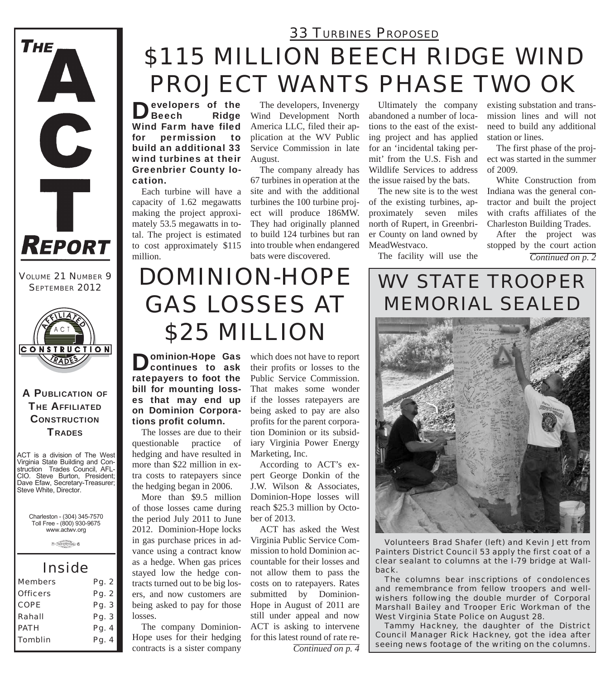

*VOLUME 21 NUMBER 9 SEPTEMBER 2012*



#### A PUBLICATION OF **THE AFFILIATED CONSTRUCTION TRADES**

ACT is a division of The West Virginia State Building and Construction Trades Council, AFL-CIO. Steve Burton, President; Dave Efaw, Secretary-Treasurer; Steve White, Director.

Charleston - (304) 345-7570 Toll Free - (800) 930-9675 www.actwv.org

 $\theta$  (restrictions)  $6$ 

### *Inside*

| <b>Members</b>  | Pg. 2 |
|-----------------|-------|
| <b>Officers</b> | Pg. 2 |
| <b>COPE</b>     | Pg. 3 |
| Rahall          | Pg. 3 |
| <b>PATH</b>     | Pg. 4 |
| <b>Tomblin</b>  | Pg. 4 |
|                 |       |

## *\$115 MILLION BEECH RIDGE WIND PROJECT WANTS PHASE TWO OK 33 TURBINES PROPOSED*

Developers of the Ridge Wind Farm have filed for permission to build an additional 33 wind turbines at their Greenbrier County location.

Each turbine will have a capacity of 1.62 megawatts making the project approximately 53.5 megawatts in total. The project is estimated to cost approximately \$115 million.

The developers, Invenergy Wind Development North America LLC, filed their application at the WV Public Service Commission in late August.

The company already has 67 turbines in operation at the site and with the additional turbines the 100 turbine project will produce 186MW. They had originally planned to build 124 turbines but ran into trouble when endangered bats were discovered.

Ultimately the company abandoned a number of locations to the east of the existing project and has applied for an 'incidental taking permit' from the U.S. Fish and Wildlife Services to address the issue raised by the bats.

The new site is to the west of the existing turbines, approximately seven miles north of Rupert, in Greenbrier County on land owned by MeadWestvaco.

The facility will use the

existing substation and transmission lines and will not need to build any additional station or lines.

The first phase of the project was started in the summer of 2009.

White Construction from Indiana was the general contractor and built the project with crafts affiliates of the Charleston Building Trades.

After the project was stopped by the court action

*Continued on p. 2*

# *DOMINION-HOPE GAS LOSSES AT \$25 MILLION*

**Dominion-Hope Gas<br>Continues to ask** ratepayers to foot the bill for mounting losses that may end up on Dominion Corporations profit column.

The losses are due to their questionable practice of hedging and have resulted in more than \$22 million in extra costs to ratepayers since the hedging began in 2006.

More than \$9.5 million of those losses came during the period July 2011 to June 2012. Dominion-Hope locks in gas purchase prices in advance using a contract know as a hedge. When gas prices stayed low the hedge contracts turned out to be big losers, and now customers are being asked to pay for those losses.

The company Dominion-Hope uses for their hedging contracts is a sister company

which does not have to report their profits or losses to the Public Service Commission. That makes some wonder if the losses ratepayers are being asked to pay are also profits for the parent corporation Dominion or its subsidiary Virginia Power Energy Marketing, Inc.

According to ACT's expert George Donkin of the J.W. Wilson & Associates, Dominion-Hope losses will reach \$25.3 million by October of 2013.

ACT has asked the West Virginia Public Service Commission to hold Dominion accountable for their losses and not allow them to pass the costs on to ratepayers. Rates submitted by Dominion-Hope in August of 2011 are still under appeal and now ACT is asking to intervene for this latest round of rate re-

*Continued on p. 4*

## *WV STATE TROOPER MEMORIAL SEALED*



*Volunteers Brad Shafer (left) and Kevin Jett from Painters District Council 53 apply the first coat of a clear sealant to columns at the I-79 bridge at Wallback.*

*The columns bear inscriptions of condolences and remembrance from fellow troopers and wellwishers following the double murder of Corporal Marshall Bailey and Trooper Eric Workman of the West Virginia State Police on August 28.*

*Tammy Hackney, the daughter of the District Council Manager Rick Hackney, got the idea after seeing news footage of the writing on the columns.*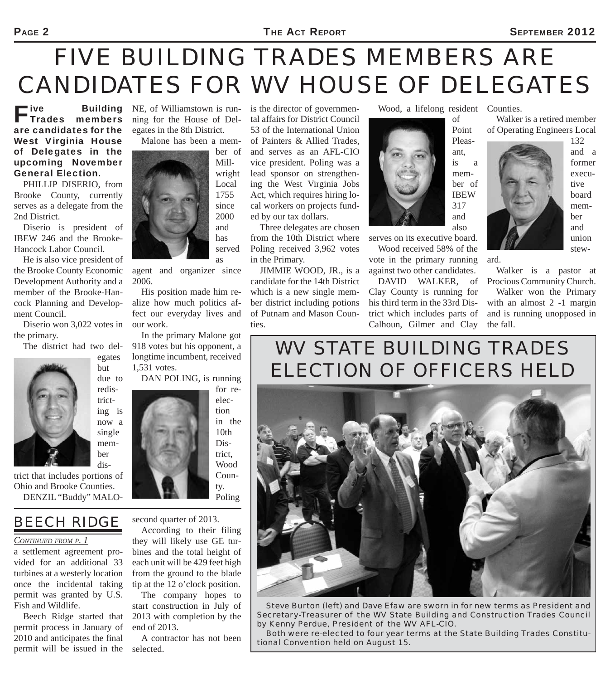#### PAGE 2 SEPTEMBER 2012

# *FIVE BUILDING TRADES MEMBERS ARE CANDIDATES FOR WV HOUSE OF DELEGATES*

"ive<br>' Trades members are candidates for the West Virginia House of Delegates in the upcoming November General Election.

PHILLIP DISERIO, from Brooke County, currently serves as a delegate from the 2nd District.

Diserio is president of IBEW 246 and the Brooke-Hancock Labor Council.

He is also vice president of the Brooke County Economic Development Authority and a member of the Brooke-Hancock Planning and Development Council.

Diserio won 3,022 votes in the primary.

The district had two del-



but due to redistricting is now a single member dis-

egates

trict that includes portions of Ohio and Brooke Counties. DENZIL "Buddy" MALO-

## *BEECH RIDGE*

#### *CONTINUED FROM P. 1*

a settlement agreement provided for an additional 33 turbines at a westerly location once the incidental taking permit was granted by U.S. Fish and Wildlife.

Beech Ridge started that permit process in January of 2010 and anticipates the final permit will be issued in the

**Building** NE, of Williamstown is running for the House of Delegates in the 8th District.

Malone has been a mem-



agent and organizer since 2006.

His position made him realize how much politics affect our everyday lives and our work.

In the primary Malone got 918 votes but his opponent, a longtime incumbent, received 1,531 votes.

DAN POLING, is running



Poling

#### second quarter of 2013.

According to their filing they will likely use GE turbines and the total height of each unit will be 429 feet high from the ground to the blade tip at the 12 o'clock position.

The company hopes to start construction in July of 2013 with completion by the end of 2013.

A contractor has not been selected.

is the director of governmental affairs for District Council 53 of the International Union of Painters & Allied Trades, and serves as an AFL-CIO vice president. Poling was a lead sponsor on strengthening the West Virginia Jobs Act, which requires hiring local workers on projects fund-

ed by our tax dollars. Three delegates are chosen from the 10th District where Poling received 3,962 votes in the Primary.

JIMMIE WOOD, JR., is a candidate for the 14th District which is a new single member district including potions of Putnam and Mason Counties.

Wood, a lifelong resident Counties.



serves on its executive board.

Wood received 58% of the vote in the primary running against two other candidates.

DAVID WALKER, of Clay County is running for his third term in the 33rd District which includes parts of Calhoun, Gilmer and Clay

Walker is a retired member of Operating Engineers Local



132 and a former executive board member and union stew-



Walker is a pastor at Procious Community Church.

Walker won the Primary with an almost 2 -1 margin and is running unopposed in the fall.

## *WV STATE BUILDING TRADES ELECTION OF OFFICERS HELD*



*Steve Burton (left) and Dave Efaw are sworn in for new terms as President and Secretary-Treasurer of the WV State Building and Construction Trades Council by Kenny Perdue, President of the WV AFL-CIO.*

*Both were re-elected to four year terms at the State Building Trades Constitutional Convention held on August 15.*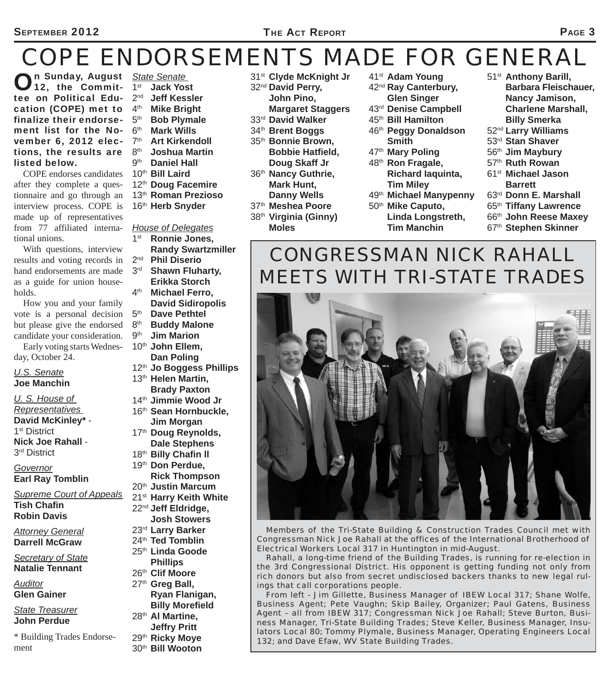# *COPE ENDORSEMENTS MADE FOR GENERAL*

**On Sunday, August** State Senate<br> **O** 12, the Commit- 1<sup>st</sup> Jack Yos  $12$ , the Commit-  $1^{st}$ tee on Political Edu- 2<sup>nd</sup> cation (COPE) met to  $4<sup>th</sup>$ finalize their endorse-  $5<sup>th</sup>$ ment list for the November 6, 2012 elections, the results are listed below.

COPE endorses candidates after they complete a questionnaire and go through an interview process. COPE is made up of representatives from 77 affiliated international unions.

With questions, interview results and voting records in hand endorsements are made as a guide for union households.

How you and your family vote is a personal decision but please give the endorsed candidate your consideration. Early voting starts Wednes-

day, October 24.

#### *U.S. Senate* **Joe Manchin**

*U. S. House of* 

*Representatives*  **David McKinley\*** -

1<sup>st</sup> District

**Nick Joe Rahall** - 3<sup>rd</sup> District

*Governor* **Earl Ray Tomblin**

*Supreme Court of Appeals*  **Tish Chafin Robin Davis**

*Attorney General* **Darrell McGraw**

*Secretary of State* **Natalie Tennant**

*Auditor* **Glen Gainer** 

*State Treasurer* **John Perdue**

\* Building Trades Endorsement

- **Jack Yost**
- **Jeff Kessler**
- **Mike Bright**
- **Bob Plymale** 6th **Mark Wills**
- 7th **Art Kirkendoll**
- 
- 8<sup>th</sup> **Joshua Martin**<br>9<sup>th</sup> **Daniel Hall Daniel Hall**
- 10th **Bill Laird**
- 12th **Doug Facemire**
- 13th **Roman Prezioso**
- 16th **Herb Snyder**

#### *House of Delegates*

- 1st **Ronnie Jones,**
- **Randy Swartzmiller**<br>2<sup>nd</sup> **Phil Diserio**
- **Phil Diserio**
- 3rd **Shawn Fluharty, Erikka Storch**
- 4th **Michael Ferro, David Sidiropolis**
- 5th **Dave Pethtel**
- 8th **Buddy Malone**
- 9th **Jim Marion**
- 10th **John Ellem, Dan Poling**
- 12th **Jo Boggess Phillips**
- 13th **Helen Martin, Brady Paxton**
- 14th **Jimmie Wood Jr** 16th **Sean Hornbuckle,**
- **Jim Morgan** 17th **Doug Reynolds,**
- **Dale Stephens** 18<sup>th</sup> **Billy Chafin II**
- 19th **Don Perdue,**
- **Rick Thompson**
- 20th **Justin Marcum**
- 21st **Harry Keith White**
- 22nd **Jeff Eldridge,**
- **Josh Stowers**
- 23rd **Larry Barker**
- 24th **Ted Tomblin**
- 25th **Linda Goode**
- **Phillips**
- 26th **Clif Moore**
- 27th **Greg Ball, Ryan Flanigan,**
- **Billy Morefield**
- 28th **Al Martine,**
- **Jeffry Pritt**
- 29th **Ricky Moye** 30th **Bill Wooton**
- 31st **Clyde McKnight Jr**
- 32nd **David Perry,** 
	- **John Pino,**
- **Margaret Staggers**
- 33rd **David Walker**
- 34th **Brent Boggs** 35th **Bonnie Brown,**
- **Bobbie Hatfi eld, Doug Skaff Jr**
- 36th **Nancy Guthrie, Mark Hunt, Danny Wells**
- 
- 38th **Virginia (Ginny) Moles**
- 41st **Adam Young**
- 42nd **Ray Canterbury, Glen Singer**
- 43rd **Denise Campbell**
- 45th **Bill Hamilton**
- 46th **Peggy Donaldson Smith**
- 47th **Mary Poling**
- 48th **Ron Fragale, Richard Iaquinta, Tim Miley**
- 49th **Michael Manypenny**
- 50th **Mike Caputo, Linda Longstreth, Tim Manchin**
- 51st **Anthony Barill, Barbara Fleischauer, Nancy Jamison, Charlene Marshall,**
- **Billy Smerka**
- 52nd **Larry Williams**
- 53rd **Stan Shaver**
- 56th **Jim Maybury**
- 57th **Ruth Rowan**
- 61st **Michael Jason Barrett**
- 63rd **Donn E. Marshall**
- 65th **Tiffany Lawrence**
- 66th **John Reese Maxey**
- 67th **Stephen Skinner**

## *CONGRESSMAN NICK RAHALL MEETS WITH TRI-STATE TRADES*



*Members of the Tri-State Building & Construction Trades Council met with Congressman Nick Joe Rahall at the offices of the International Brotherhood of Electrical Workers Local 317 in Huntington in mid-August.* 

*Rahall, a long-time friend of the Building Trades, is running for re-election in the 3rd Congressional District. His opponent is getting funding not only from rich donors but also from secret undisclosed backers thanks to new legal rulings that call corporations people.*

*From left - Jim Gillette, Business Manager of IBEW Local 317; Shane Wolfe, Business Agent; Pete Vaughn; Skip Bailey, Organizer; Paul Gatens, Business Agent – all from IBEW 317; Congressman Nick Joe Rahall; Steve Burton, Business Manager, Tri-State Building Trades; Steve Keller, Business Manager, Insulators Local 80; Tommy Plymale, Business Manager, Operating Engineers Local 132; and Dave Efaw, WV State Building Trades.*

- 
- 37th **Meshea Poore**